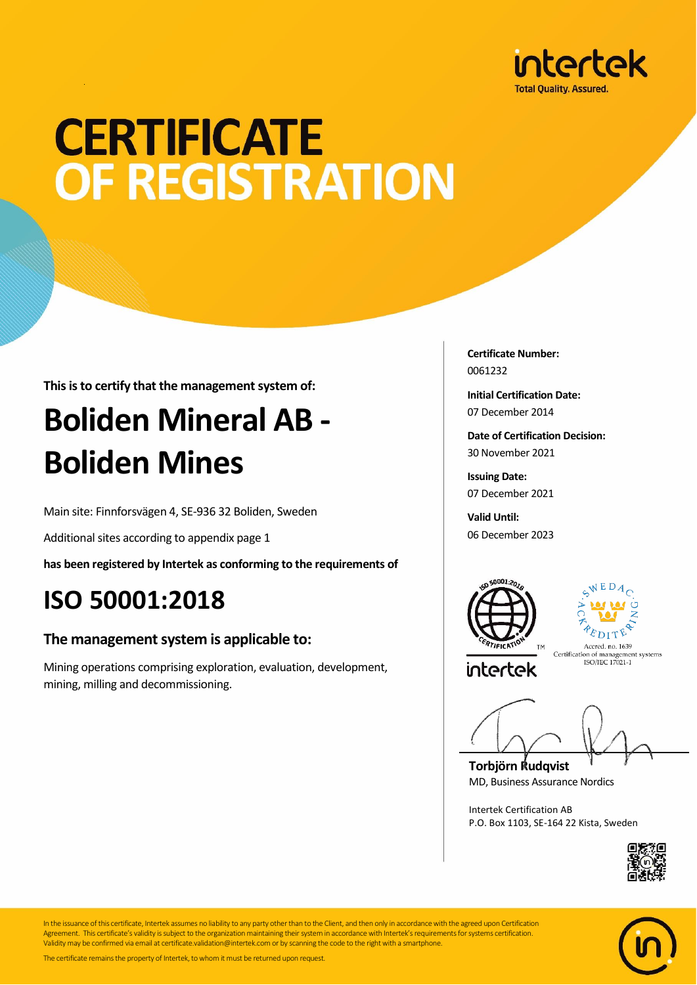

## **CERTIFICATE** OF REGISTRATION

**This is to certify that the management system of:**

## **Boliden Mineral AB - Boliden Mines**

Main site: Finnforsvägen 4, SE-936 32 Boliden, Sweden

Additional sites according to appendix page 1

**has been registered by Intertek as conforming to the requirements of**

### **ISO 50001:2018**

#### **The management system is applicable to:**

Mining operations comprising exploration, evaluation, development, mining, milling and decommissioning.

**Certificate Number:** 0061232

**Initial Certification Date:** 07 December 2014

**Date of Certification Decision:** 30 November 2021

**Issuing Date:** 07 December 2021

**Valid Until:** 06 December 2023





intertek

Accred. no. 1639 Accred. no. 1639<br>Certification of management systems<br>ISO/IEC 17021-1

**Torbjörn Rudqvist** MD, Business Assurance Nordics

Intertek Certification AB P.O. Box 1103, SE-164 22 Kista, Sweden





In the issuance of this certificate, Intertek assumes no liability to any party other than to the Client, and then only in accordance with the agreed upon Certification Agreement. This certificate's validity is subject to the organization maintaining their system in accordance with Intertek's requirements for systems certification. Validity may be confirmed via email at certificate.validation@intertek.com or by scanning the code to the right with a smartphone.

The certificate remains the property of Intertek, to whom it must be returned upon request.